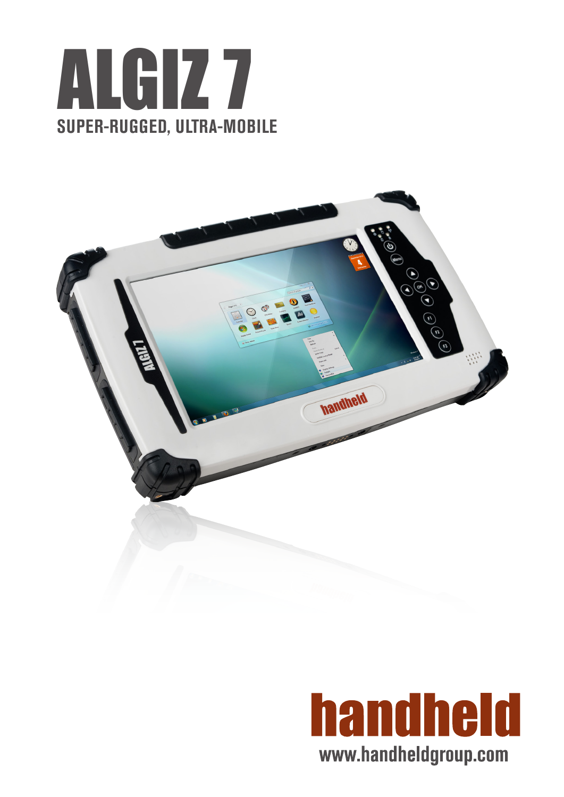